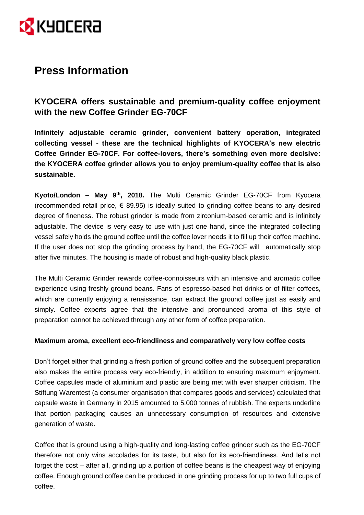

# **Press Information**

## **KYOCERA offers sustainable and premium-quality coffee enjoyment with the new Coffee Grinder EG-70CF**

**Infinitely adjustable ceramic grinder, convenient battery operation, integrated collecting vessel - these are the technical highlights of KYOCERA's new electric Coffee Grinder EG-70CF. For coffee-lovers, there's something even more decisive: the KYOCERA coffee grinder allows you to enjoy premium-quality coffee that is also sustainable.**

Kyoto/London - May 9<sup>th</sup>, 2018. The Multi Ceramic Grinder EG-70CF from Kyocera (recommended retail price,  $\epsilon$  89.95) is ideally suited to grinding coffee beans to any desired degree of fineness. The robust grinder is made from zirconium-based ceramic and is infinitely adjustable. The device is very easy to use with just one hand, since the integrated collecting vessel safely holds the ground coffee until the coffee lover needs it to fill up their coffee machine. If the user does not stop the grinding process by hand, the EG-70CF will automatically stop after five minutes. The housing is made of robust and high-quality black plastic.

The Multi Ceramic Grinder rewards coffee-connoisseurs with an intensive and aromatic coffee experience using freshly ground beans. Fans of espresso-based hot drinks or of filter coffees, which are currently enjoying a renaissance, can extract the ground coffee just as easily and simply. Coffee experts agree that the intensive and pronounced aroma of this style of preparation cannot be achieved through any other form of coffee preparation.

### **Maximum aroma, excellent eco-friendliness and comparatively very low coffee costs**

Don't forget either that grinding a fresh portion of ground coffee and the subsequent preparation also makes the entire process very eco-friendly, in addition to ensuring maximum enjoyment. Coffee capsules made of aluminium and plastic are being met with ever sharper criticism. The Stiftung Warentest (a consumer organisation that compares goods and services) calculated that capsule waste in Germany in 2015 amounted to 5,000 tonnes of rubbish. The experts underline that portion packaging causes an unnecessary consumption of resources and extensive generation of waste.

Coffee that is ground using a high-quality and long-lasting coffee grinder such as the EG-70CF therefore not only wins accolades for its taste, but also for its eco-friendliness. And let's not forget the cost – after all, grinding up a portion of coffee beans is the cheapest way of enjoying coffee. Enough ground coffee can be produced in one grinding process for up to two full cups of coffee.